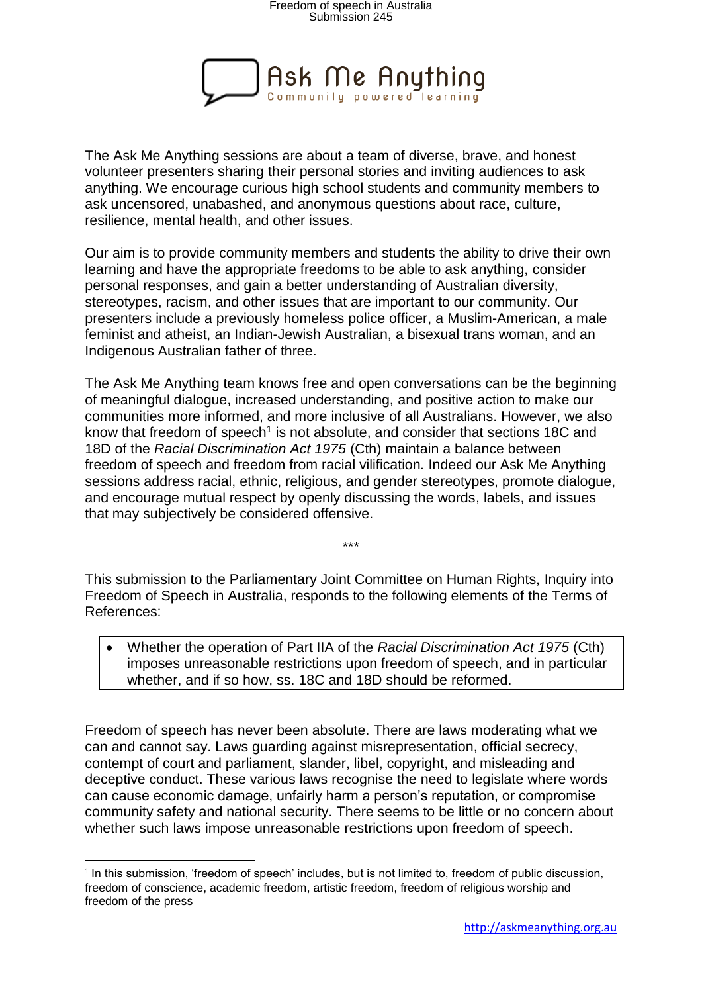

The Ask Me Anything sessions are about a team of diverse, brave, and honest volunteer presenters sharing their personal stories and inviting audiences to ask anything. We encourage curious high school students and community members to ask uncensored, unabashed, and anonymous questions about race, culture, resilience, mental health, and other issues.

Our aim is to provide community members and students the ability to drive their own learning and have the appropriate freedoms to be able to ask anything, consider personal responses, and gain a better understanding of Australian diversity, stereotypes, racism, and other issues that are important to our community. Our presenters include a previously homeless police officer, a Muslim-American, a male feminist and atheist, an Indian-Jewish Australian, a bisexual trans woman, and an Indigenous Australian father of three.

The Ask Me Anything team knows free and open conversations can be the beginning of meaningful dialogue, increased understanding, and positive action to make our communities more informed, and more inclusive of all Australians. However, we also know that freedom of speech<sup>1</sup> is not absolute, and consider that sections 18C and 18D of the *Racial Discrimination Act 1975* (Cth) maintain a balance between freedom of speech and freedom from racial vilification*.* Indeed our Ask Me Anything sessions address racial, ethnic, religious, and gender stereotypes, promote dialogue, and encourage mutual respect by openly discussing the words, labels, and issues that may subjectively be considered offensive.

This submission to the Parliamentary Joint Committee on Human Rights, Inquiry into Freedom of Speech in Australia, responds to the following elements of the Terms of References:

\*\*\*

 Whether the operation of Part IIA of the *Racial Discrimination Act 1975* (Cth) imposes unreasonable restrictions upon freedom of speech, and in particular whether, and if so how, ss. 18C and 18D should be reformed.

Freedom of speech has never been absolute. There are laws moderating what we can and cannot say. Laws guarding against misrepresentation, official secrecy, contempt of court and parliament, slander, libel, copyright, and misleading and deceptive conduct. These various laws recognise the need to legislate where words can cause economic damage, unfairly harm a person's reputation, or compromise community safety and national security. There seems to be little or no concern about whether such laws impose unreasonable restrictions upon freedom of speech.

**.** 

<sup>&</sup>lt;sup>1</sup> In this submission, 'freedom of speech' includes, but is not limited to, freedom of public discussion, freedom of conscience, academic freedom, artistic freedom, freedom of religious worship and freedom of the press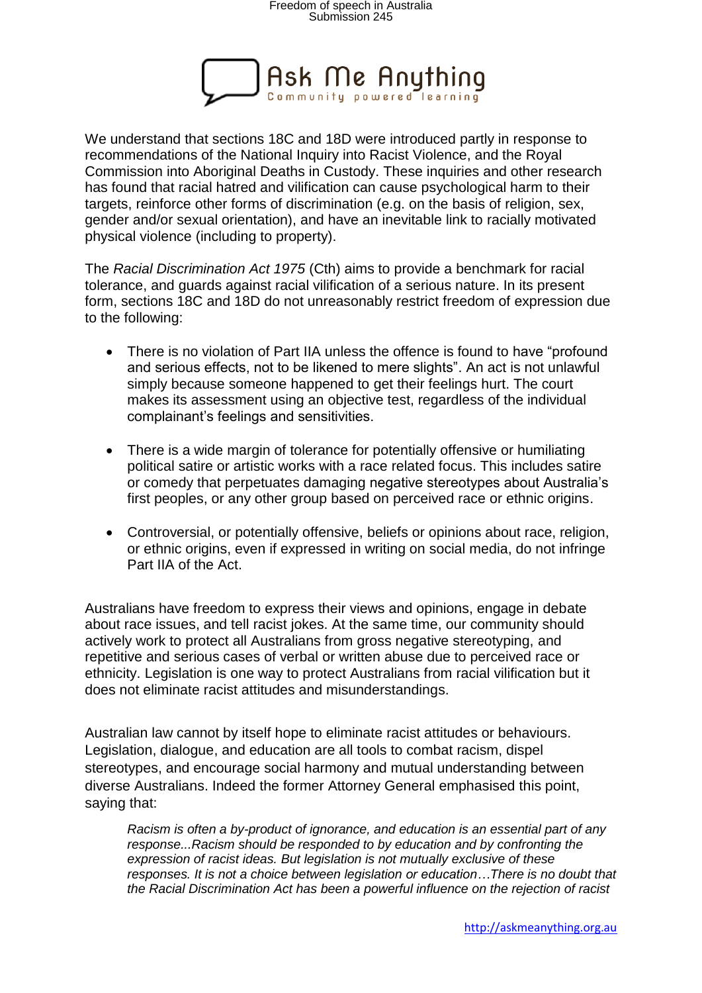

We understand that sections 18C and 18D were introduced partly in response to recommendations of the National Inquiry into Racist Violence, and the Royal Commission into Aboriginal Deaths in Custody. These inquiries and other research has found that racial hatred and vilification can cause psychological harm to their targets, reinforce other forms of discrimination (e.g. on the basis of religion, sex, gender and/or sexual orientation), and have an inevitable link to racially motivated physical violence (including to property).

The *Racial Discrimination Act 1975* (Cth) aims to provide a benchmark for racial tolerance, and guards against racial vilification of a serious nature. In its present form, sections 18C and 18D do not unreasonably restrict freedom of expression due to the following:

- There is no violation of Part IIA unless the offence is found to have "profound and serious effects, not to be likened to mere slights". An act is not unlawful simply because someone happened to get their feelings hurt. The court makes its assessment using an objective test, regardless of the individual complainant's feelings and sensitivities.
- There is a wide margin of tolerance for potentially offensive or humiliating political satire or artistic works with a race related focus. This includes satire or comedy that perpetuates damaging negative stereotypes about Australia's first peoples, or any other group based on perceived race or ethnic origins.
- Controversial, or potentially offensive, beliefs or opinions about race, religion, or ethnic origins, even if expressed in writing on social media, do not infringe Part IIA of the Act.

Australians have freedom to express their views and opinions, engage in debate about race issues, and tell racist jokes. At the same time, our community should actively work to protect all Australians from gross negative stereotyping, and repetitive and serious cases of verbal or written abuse due to perceived race or ethnicity. Legislation is one way to protect Australians from racial vilification but it does not eliminate racist attitudes and misunderstandings.

Australian law cannot by itself hope to eliminate racist attitudes or behaviours. Legislation, dialogue, and education are all tools to combat racism, dispel stereotypes, and encourage social harmony and mutual understanding between diverse Australians. Indeed the former Attorney General emphasised this point, saying that:

*Racism is often a by-product of ignorance, and education is an essential part of any response...Racism should be responded to by education and by confronting the expression of racist ideas. But legislation is not mutually exclusive of these responses. It is not a choice between legislation or education…There is no doubt that the Racial Discrimination Act has been a powerful influence on the rejection of racist*